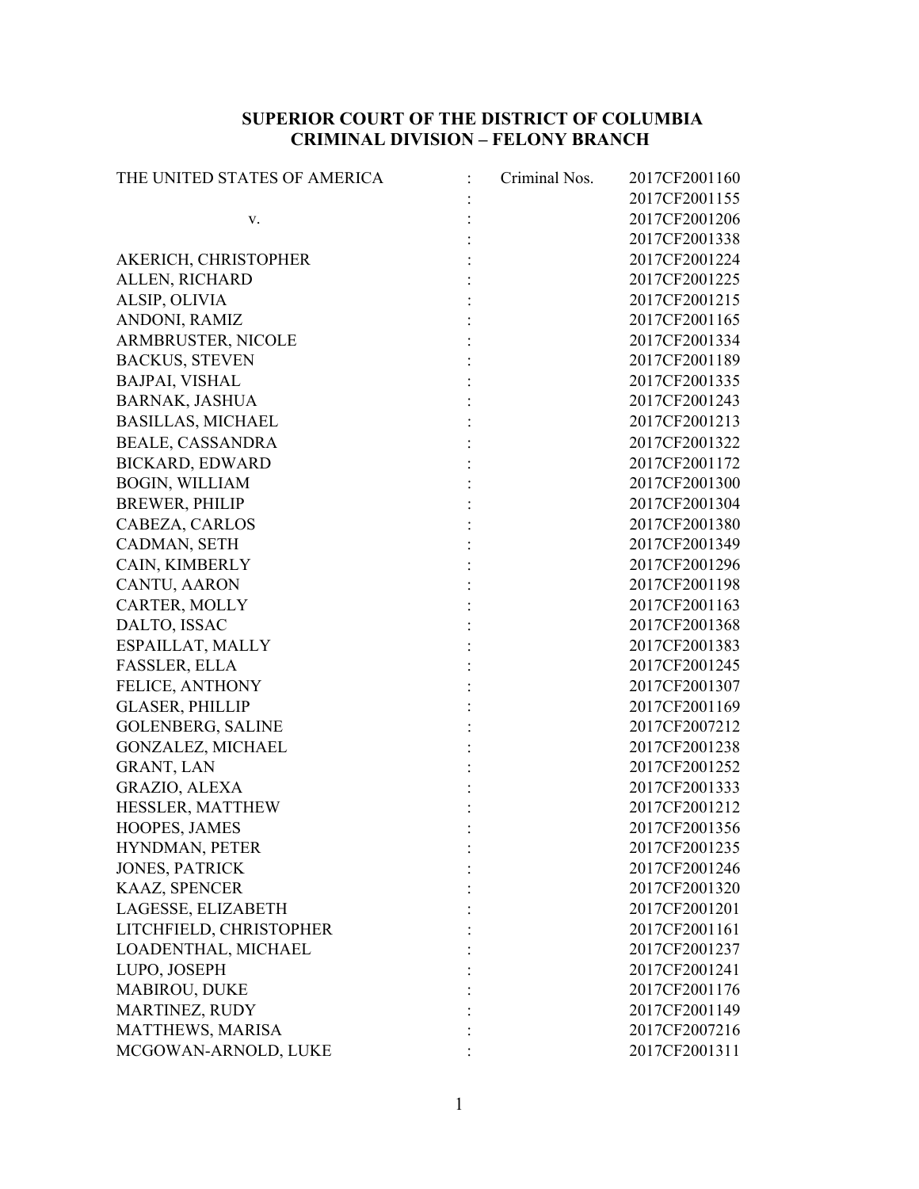## **SUPERIOR COURT OF THE DISTRICT OF COLUMBIA CRIMINAL DIVISION – FELONY BRANCH**

| THE UNITED STATES OF AMERICA | Criminal Nos. | 2017CF2001160 |
|------------------------------|---------------|---------------|
|                              |               | 2017CF2001155 |
| v.                           |               | 2017CF2001206 |
|                              |               | 2017CF2001338 |
| AKERICH, CHRISTOPHER         |               | 2017CF2001224 |
| ALLEN, RICHARD               |               | 2017CF2001225 |
| ALSIP, OLIVIA                |               | 2017CF2001215 |
| ANDONI, RAMIZ                |               | 2017CF2001165 |
| ARMBRUSTER, NICOLE           |               | 2017CF2001334 |
| <b>BACKUS, STEVEN</b>        |               | 2017CF2001189 |
| <b>BAJPAI, VISHAL</b>        |               | 2017CF2001335 |
| <b>BARNAK, JASHUA</b>        |               | 2017CF2001243 |
| <b>BASILLAS, MICHAEL</b>     |               | 2017CF2001213 |
| <b>BEALE, CASSANDRA</b>      |               | 2017CF2001322 |
| <b>BICKARD, EDWARD</b>       |               | 2017CF2001172 |
| <b>BOGIN, WILLIAM</b>        |               | 2017CF2001300 |
| <b>BREWER, PHILIP</b>        |               | 2017CF2001304 |
| CABEZA, CARLOS               |               | 2017CF2001380 |
| CADMAN, SETH                 |               | 2017CF2001349 |
| CAIN, KIMBERLY               |               | 2017CF2001296 |
| CANTU, AARON                 |               | 2017CF2001198 |
| CARTER, MOLLY                |               | 2017CF2001163 |
| DALTO, ISSAC                 |               | 2017CF2001368 |
| ESPAILLAT, MALLY             |               | 2017CF2001383 |
| FASSLER, ELLA                |               | 2017CF2001245 |
| FELICE, ANTHONY              |               | 2017CF2001307 |
| <b>GLASER, PHILLIP</b>       |               | 2017CF2001169 |
| <b>GOLENBERG, SALINE</b>     |               | 2017CF2007212 |
| <b>GONZALEZ, MICHAEL</b>     |               | 2017CF2001238 |
| <b>GRANT, LAN</b>            |               | 2017CF2001252 |
| GRAZIO, ALEXA                |               | 2017CF2001333 |
| HESSLER, MATTHEW             |               | 2017CF2001212 |
| HOOPES, JAMES                |               | 2017CF2001356 |
| HYNDMAN, PETER               |               | 2017CF2001235 |
| <b>JONES, PATRICK</b>        |               | 2017CF2001246 |
| KAAZ, SPENCER                |               | 2017CF2001320 |
| LAGESSE, ELIZABETH           |               | 2017CF2001201 |
| LITCHFIELD, CHRISTOPHER      |               | 2017CF2001161 |
| LOADENTHAL, MICHAEL          |               | 2017CF2001237 |
| LUPO, JOSEPH                 |               | 2017CF2001241 |
| MABIROU, DUKE                |               | 2017CF2001176 |
| MARTINEZ, RUDY               |               | 2017CF2001149 |
| MATTHEWS, MARISA             |               | 2017CF2007216 |
| MCGOWAN-ARNOLD, LUKE         |               | 2017CF2001311 |
|                              |               |               |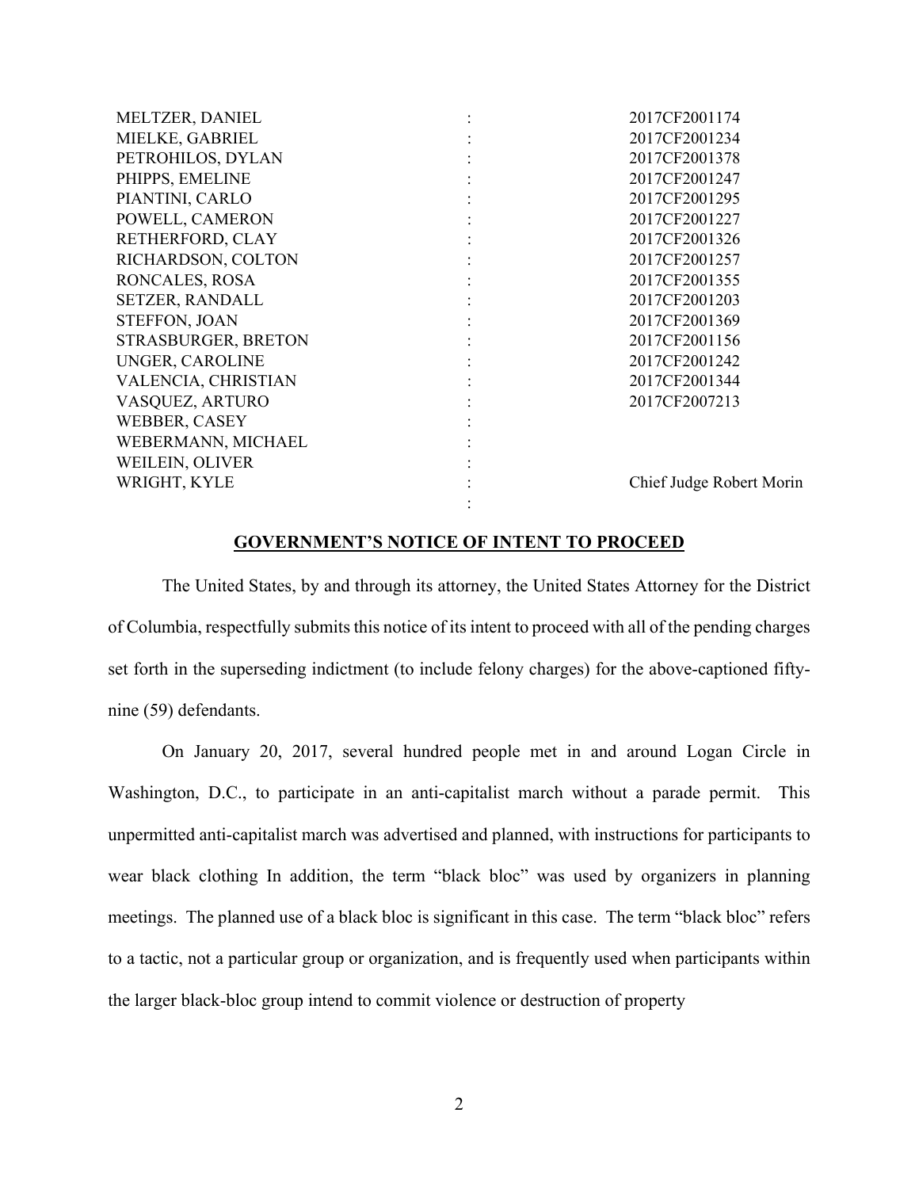| MELTZER, DANIEL        | 2017CF2001174            |
|------------------------|--------------------------|
| MIELKE, GABRIEL        | 2017CF2001234            |
| PETROHILOS, DYLAN      | 2017CF2001378            |
| PHIPPS, EMELINE        | 2017CF2001247            |
| PIANTINI, CARLO        | 2017CF2001295            |
| POWELL, CAMERON        | 2017CF2001227            |
| RETHERFORD, CLAY       | 2017CF2001326            |
| RICHARDSON, COLTON     | 2017CF2001257            |
| RONCALES, ROSA         | 2017CF2001355            |
| <b>SETZER, RANDALL</b> | 2017CF2001203            |
| STEFFON, JOAN          | 2017CF2001369            |
| STRASBURGER, BRETON    | 2017CF2001156            |
| UNGER, CAROLINE        | 2017CF2001242            |
| VALENCIA, CHRISTIAN    | 2017CF2001344            |
| VASQUEZ, ARTURO        | 2017CF2007213            |
| WEBBER, CASEY          |                          |
| WEBERMANN, MICHAEL     |                          |
| WEILEIN, OLIVER        |                          |
| WRIGHT, KYLE           | Chief Judge Robert Morin |
|                        |                          |

## **GOVERNMENT'S NOTICE OF INTENT TO PROCEED**

The United States, by and through its attorney, the United States Attorney for the District of Columbia, respectfully submits this notice of its intent to proceed with all of the pending charges set forth in the superseding indictment (to include felony charges) for the above-captioned fiftynine (59) defendants.

On January 20, 2017, several hundred people met in and around Logan Circle in Washington, D.C., to participate in an anti-capitalist march without a parade permit. This unpermitted anti-capitalist march was advertised and planned, with instructions for participants to wear black clothing In addition, the term "black bloc" was used by organizers in planning meetings. The planned use of a black bloc is significant in this case. The term "black bloc" refers to a tactic, not a particular group or organization, and is frequently used when participants within the larger black-bloc group intend to commit violence or destruction of property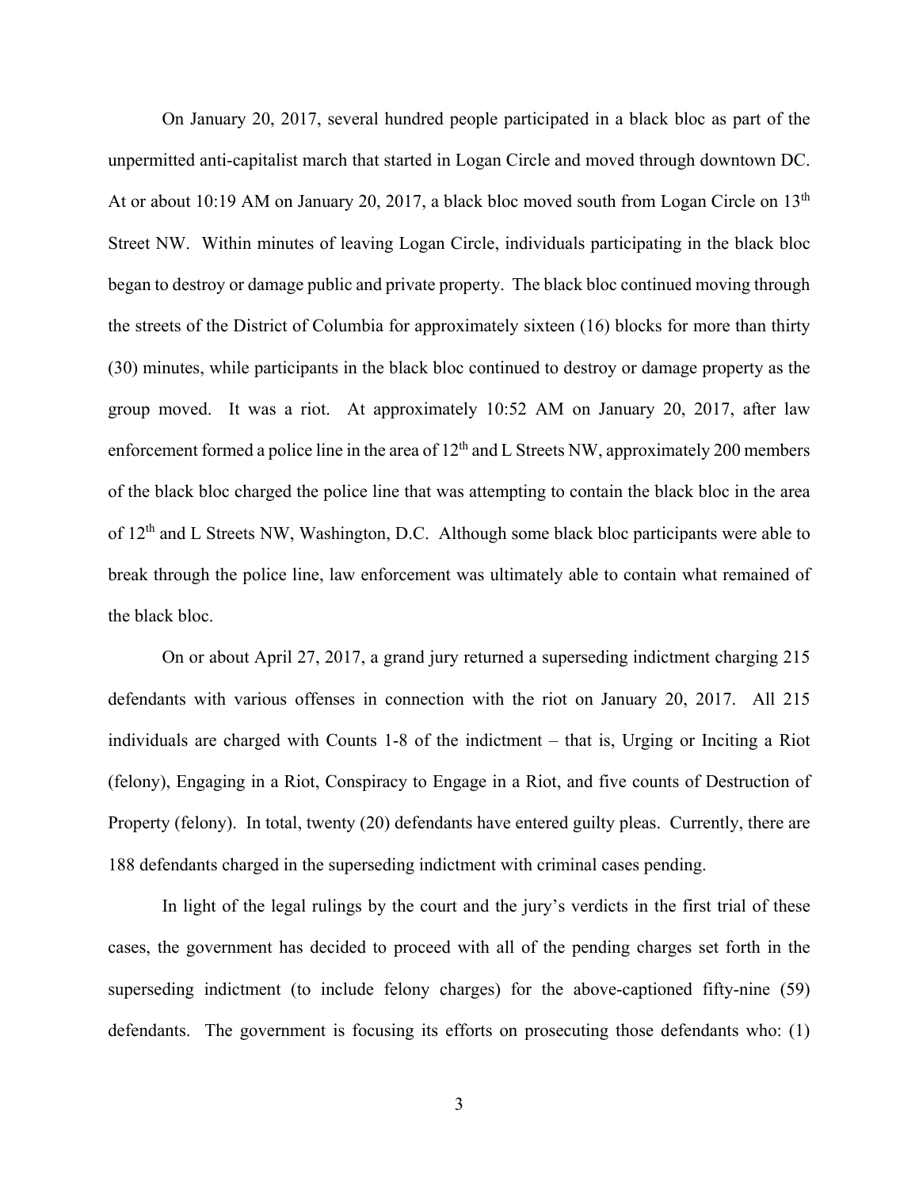On January 20, 2017, several hundred people participated in a black bloc as part of the unpermitted anti-capitalist march that started in Logan Circle and moved through downtown DC. At or about 10:19 AM on January 20, 2017, a black bloc moved south from Logan Circle on 13<sup>th</sup> Street NW. Within minutes of leaving Logan Circle, individuals participating in the black bloc began to destroy or damage public and private property. The black bloc continued moving through the streets of the District of Columbia for approximately sixteen (16) blocks for more than thirty (30) minutes, while participants in the black bloc continued to destroy or damage property as the group moved. It was a riot. At approximately 10:52 AM on January 20, 2017, after law enforcement formed a police line in the area of  $12<sup>th</sup>$  and L Streets NW, approximately 200 members of the black bloc charged the police line that was attempting to contain the black bloc in the area of 12<sup>th</sup> and L Streets NW, Washington, D.C. Although some black bloc participants were able to break through the police line, law enforcement was ultimately able to contain what remained of the black bloc.

On or about April 27, 2017, a grand jury returned a superseding indictment charging 215 defendants with various offenses in connection with the riot on January 20, 2017. All 215 individuals are charged with Counts 1-8 of the indictment – that is, Urging or Inciting a Riot (felony), Engaging in a Riot, Conspiracy to Engage in a Riot, and five counts of Destruction of Property (felony). In total, twenty (20) defendants have entered guilty pleas. Currently, there are 188 defendants charged in the superseding indictment with criminal cases pending.

In light of the legal rulings by the court and the jury's verdicts in the first trial of these cases, the government has decided to proceed with all of the pending charges set forth in the superseding indictment (to include felony charges) for the above-captioned fifty-nine (59) defendants. The government is focusing its efforts on prosecuting those defendants who: (1)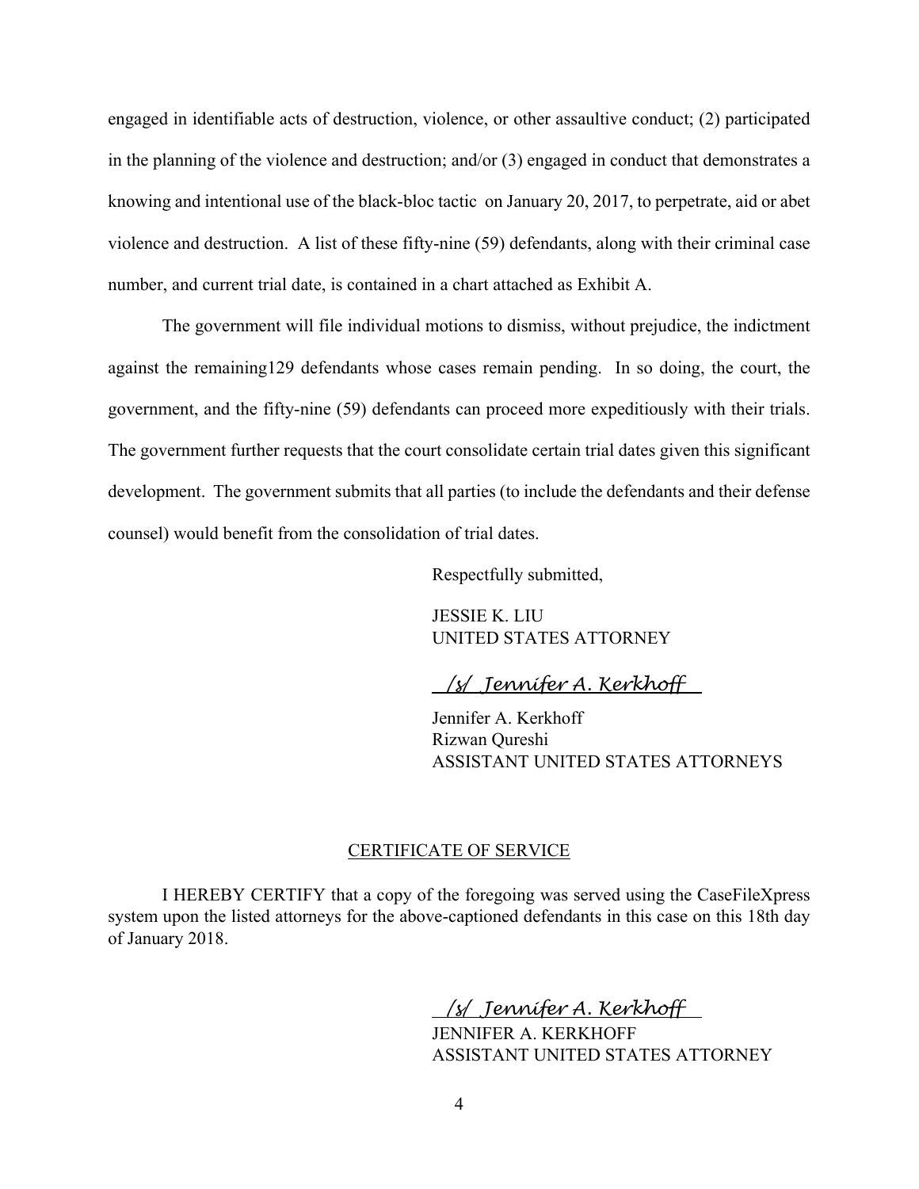engaged in identifiable acts of destruction, violence, or other assaultive conduct; (2) participated in the planning of the violence and destruction; and/or (3) engaged in conduct that demonstrates a knowing and intentional use of the black-bloc tactic on January 20, 2017, to perpetrate, aid or abet violence and destruction. A list of these fifty-nine (59) defendants, along with their criminal case number, and current trial date, is contained in a chart attached as Exhibit A.

The government will file individual motions to dismiss, without prejudice, the indictment against the remaining129 defendants whose cases remain pending. In so doing, the court, the government, and the fifty-nine (59) defendants can proceed more expeditiously with their trials. The government further requests that the court consolidate certain trial dates given this significant development. The government submits that all parties (to include the defendants and their defense counsel) would benefit from the consolidation of trial dates.

Respectfully submitted,

 JESSIE K. LIU UNITED STATES ATTORNEY

*/s/ Jennifer A. Kerkhoff* 

Jennifer A. Kerkhoff Rizwan Qureshi ASSISTANT UNITED STATES ATTORNEYS

## CERTIFICATE OF SERVICE

I HEREBY CERTIFY that a copy of the foregoing was served using the CaseFileXpress system upon the listed attorneys for the above-captioned defendants in this case on this 18th day of January 2018.

> */s/ Jennifer A. Kerkhoff*  JENNIFER A. KERKHOFF ASSISTANT UNITED STATES ATTORNEY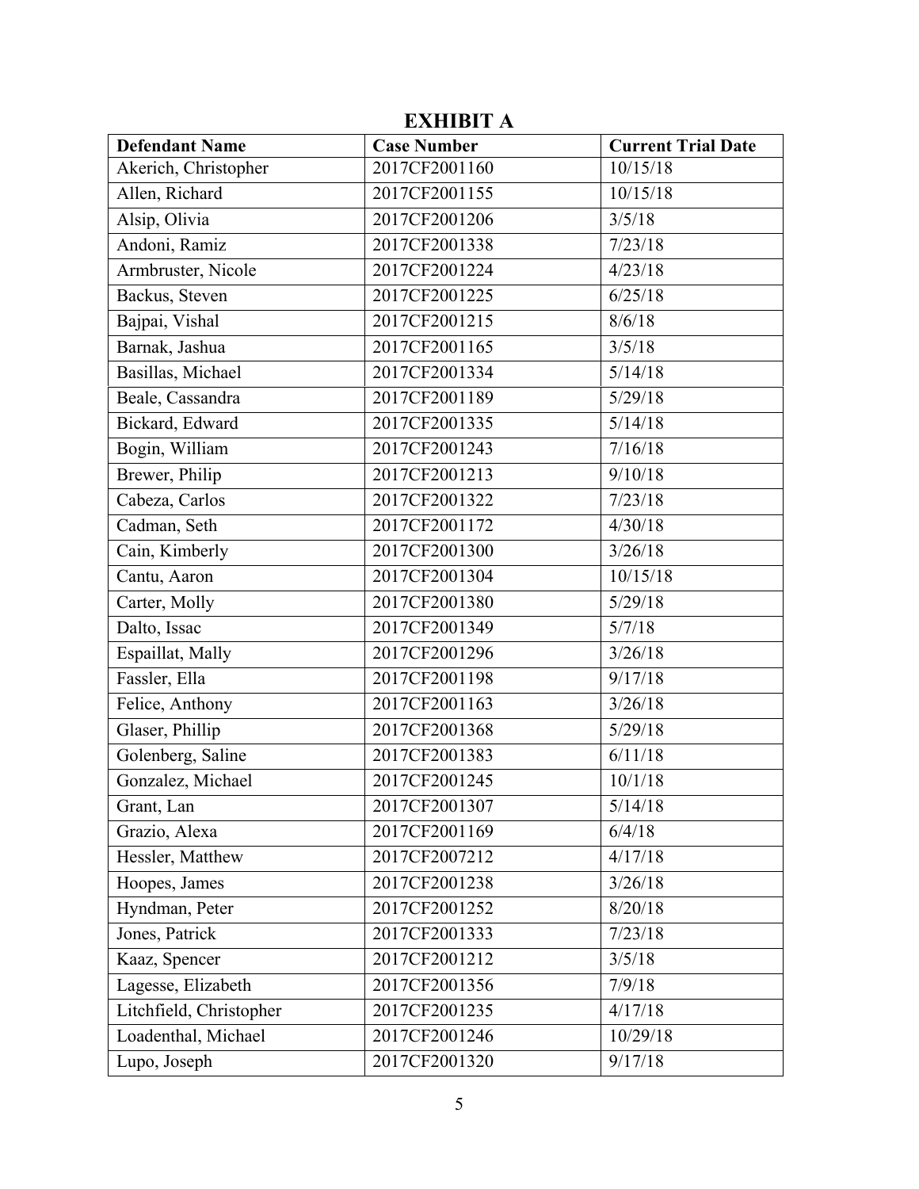| <b>Defendant Name</b>   | <b>Case Number</b> | <b>Current Trial Date</b> |
|-------------------------|--------------------|---------------------------|
| Akerich, Christopher    | 2017CF2001160      | 10/15/18                  |
| Allen, Richard          | 2017CF2001155      | 10/15/18                  |
| Alsip, Olivia           | 2017CF2001206      | 3/5/18                    |
| Andoni, Ramiz           | 2017CF2001338      | 7/23/18                   |
| Armbruster, Nicole      | 2017CF2001224      | 4/23/18                   |
| Backus, Steven          | 2017CF2001225      | 6/25/18                   |
| Bajpai, Vishal          | 2017CF2001215      | 8/6/18                    |
| Barnak, Jashua          | 2017CF2001165      | 3/5/18                    |
| Basillas, Michael       | 2017CF2001334      | 5/14/18                   |
| Beale, Cassandra        | 2017CF2001189      | 5/29/18                   |
| Bickard, Edward         | 2017CF2001335      | 5/14/18                   |
| Bogin, William          | 2017CF2001243      | 7/16/18                   |
| Brewer, Philip          | 2017CF2001213      | 9/10/18                   |
| Cabeza, Carlos          | 2017CF2001322      | 7/23/18                   |
| Cadman, Seth            | 2017CF2001172      | 4/30/18                   |
| Cain, Kimberly          | 2017CF2001300      | 3/26/18                   |
| Cantu, Aaron            | 2017CF2001304      | 10/15/18                  |
| Carter, Molly           | 2017CF2001380      | 5/29/18                   |
| Dalto, Issac            | 2017CF2001349      | 5/7/18                    |
| Espaillat, Mally        | 2017CF2001296      | 3/26/18                   |
| Fassler, Ella           | 2017CF2001198      | 9/17/18                   |
| Felice, Anthony         | 2017CF2001163      | 3/26/18                   |
| Glaser, Phillip         | 2017CF2001368      | 5/29/18                   |
| Golenberg, Saline       | 2017CF2001383      | 6/11/18                   |
| Gonzalez, Michael       | 2017CF2001245      | 10/1/18                   |
| Grant, Lan              | 2017CF2001307      | 5/14/18                   |
| Grazio, Alexa           | 2017CF2001169      | 6/4/18                    |
| Hessler, Matthew        | 2017CF2007212      | 4/17/18                   |
| Hoopes, James           | 2017CF2001238      | 3/26/18                   |
| Hyndman, Peter          | 2017CF2001252      | 8/20/18                   |
| Jones, Patrick          | 2017CF2001333      | 7/23/18                   |
| Kaaz, Spencer           | 2017CF2001212      | 3/5/18                    |
| Lagesse, Elizabeth      | 2017CF2001356      | 7/9/18                    |
| Litchfield, Christopher | 2017CF2001235      | 4/17/18                   |
| Loadenthal, Michael     | 2017CF2001246      | 10/29/18                  |
| Lupo, Joseph            | 2017CF2001320      | 9/17/18                   |

## **EXHIBIT A**